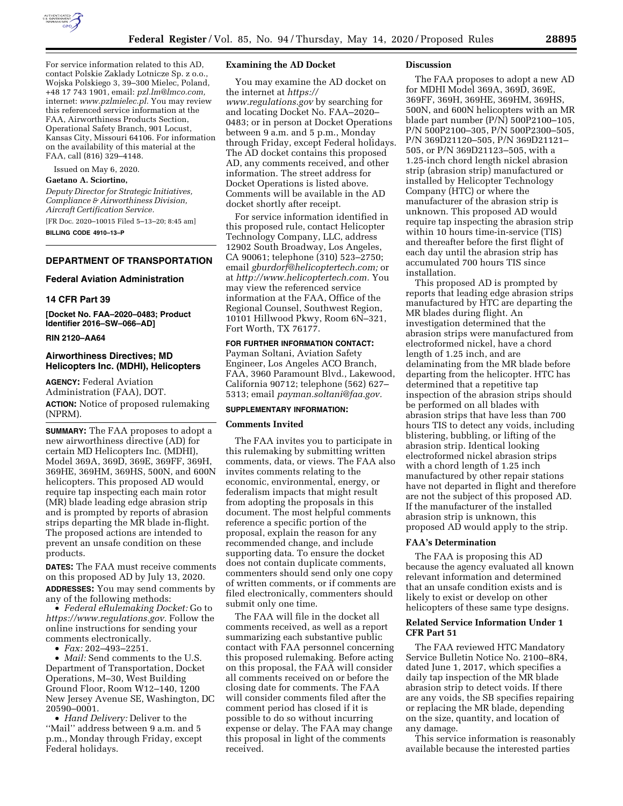

For service information related to this AD, contact Polskie Zaklady Lotnicze Sp. z o.o., Wojska Polskiego 3, 39–300 Mielec, Poland, +48 17 743 1901, email: *[pzl.lm@lmco.com,](mailto:pzl.lm@lmco.com)*  internet: *[www.pzlmielec.pl.](http://www.pzlmielec.pl)* You may review this referenced service information at the FAA, Airworthiness Products Section, Operational Safety Branch, 901 Locust, Kansas City, Missouri 64106. For information on the availability of this material at the FAA, call (816) 329–4148.

Issued on May 6, 2020.

# **Gaetano A. Sciortino,**

*Deputy Director for Strategic Initiatives, Compliance & Airworthiness Division, Aircraft Certification Service.*  [FR Doc. 2020–10015 Filed 5–13–20; 8:45 am]

**BILLING CODE 4910–13–P** 

# **DEPARTMENT OF TRANSPORTATION**

#### **Federal Aviation Administration**

### **14 CFR Part 39**

**[Docket No. FAA–2020–0483; Product Identifier 2016–SW–066–AD]** 

## **RIN 2120–AA64**

# **Airworthiness Directives; MD Helicopters Inc. (MDHI), Helicopters**

**AGENCY:** Federal Aviation Administration (FAA), DOT. **ACTION:** Notice of proposed rulemaking (NPRM).

**SUMMARY:** The FAA proposes to adopt a new airworthiness directive (AD) for certain MD Helicopters Inc. (MDHI), Model 369A, 369D, 369E, 369FF, 369H, 369HE, 369HM, 369HS, 500N, and 600N helicopters. This proposed AD would require tap inspecting each main rotor (MR) blade leading edge abrasion strip and is prompted by reports of abrasion strips departing the MR blade in-flight. The proposed actions are intended to prevent an unsafe condition on these products.

**DATES:** The FAA must receive comments on this proposed AD by July 13, 2020. **ADDRESSES:** You may send comments by any of the following methods:

• *Federal eRulemaking Docket:* Go to *[https://www.regulations.gov.](https://www.regulations.gov)* Follow the online instructions for sending your comments electronically.

• *Fax:* 202–493–2251.

• *Mail:* Send comments to the U.S. Department of Transportation, Docket Operations, M–30, West Building Ground Floor, Room W12–140, 1200 New Jersey Avenue SE, Washington, DC 20590–0001.

• *Hand Delivery:* Deliver to the ''Mail'' address between 9 a.m. and 5 p.m., Monday through Friday, except Federal holidays.

# **Examining the AD Docket**

You may examine the AD docket on the internet at *[https://](https://www.regulations.gov) [www.regulations.gov](https://www.regulations.gov)* by searching for and locating Docket No. FAA–2020– 0483; or in person at Docket Operations between 9 a.m. and 5 p.m., Monday through Friday, except Federal holidays. The AD docket contains this proposed AD, any comments received, and other information. The street address for Docket Operations is listed above. Comments will be available in the AD docket shortly after receipt.

For service information identified in this proposed rule, contact Helicopter Technology Company, LLC, address 12902 South Broadway, Los Angeles, CA 90061; telephone (310) 523–2750; email *[gburdorf@helicoptertech.com;](mailto:gburdorf@helicoptertech.com)* or at *[http://www.helicoptertech.com.](http://www.helicoptertech.com)* You may view the referenced service information at the FAA, Office of the Regional Counsel, Southwest Region, 10101 Hillwood Pkwy, Room 6N–321, Fort Worth, TX 76177.

#### **FOR FURTHER INFORMATION CONTACT:**

Payman Soltani, Aviation Safety Engineer, Los Angeles ACO Branch, FAA, 3960 Paramount Blvd., Lakewood, California 90712; telephone (562) 627– 5313; email *[payman.soltani@faa.gov.](mailto:payman.soltani@faa.gov)* 

## **SUPPLEMENTARY INFORMATION:**

### **Comments Invited**

The FAA invites you to participate in this rulemaking by submitting written comments, data, or views. The FAA also invites comments relating to the economic, environmental, energy, or federalism impacts that might result from adopting the proposals in this document. The most helpful comments reference a specific portion of the proposal, explain the reason for any recommended change, and include supporting data. To ensure the docket does not contain duplicate comments, commenters should send only one copy of written comments, or if comments are filed electronically, commenters should submit only one time.

The FAA will file in the docket all comments received, as well as a report summarizing each substantive public contact with FAA personnel concerning this proposed rulemaking. Before acting on this proposal, the FAA will consider all comments received on or before the closing date for comments. The FAA will consider comments filed after the comment period has closed if it is possible to do so without incurring expense or delay. The FAA may change this proposal in light of the comments received.

#### **Discussion**

The FAA proposes to adopt a new AD for MDHI Model 369A, 369D, 369E, 369FF, 369H, 369HE, 369HM, 369HS, 500N, and 600N helicopters with an MR blade part number (P/N) 500P2100–105, P/N 500P2100–305, P/N 500P2300–505, P/N 369D21120–505, P/N 369D21121– 505, or P/N 369D21123–505, with a 1.25-inch chord length nickel abrasion strip (abrasion strip) manufactured or installed by Helicopter Technology Company (HTC) or where the manufacturer of the abrasion strip is unknown. This proposed AD would require tap inspecting the abrasion strip within 10 hours time-in-service (TIS) and thereafter before the first flight of each day until the abrasion strip has accumulated 700 hours TIS since installation.

This proposed AD is prompted by reports that leading edge abrasion strips manufactured by HTC are departing the MR blades during flight. An investigation determined that the abrasion strips were manufactured from electroformed nickel, have a chord length of 1.25 inch, and are delaminating from the MR blade before departing from the helicopter. HTC has determined that a repetitive tap inspection of the abrasion strips should be performed on all blades with abrasion strips that have less than 700 hours TIS to detect any voids, including blistering, bubbling, or lifting of the abrasion strip. Identical looking electroformed nickel abrasion strips with a chord length of 1.25 inch manufactured by other repair stations have not departed in flight and therefore are not the subject of this proposed AD. If the manufacturer of the installed abrasion strip is unknown, this proposed AD would apply to the strip.

#### **FAA's Determination**

The FAA is proposing this AD because the agency evaluated all known relevant information and determined that an unsafe condition exists and is likely to exist or develop on other helicopters of these same type designs.

## **Related Service Information Under 1 CFR Part 51**

The FAA reviewed HTC Mandatory Service Bulletin Notice No. 2100–8R4, dated June 1, 2017, which specifies a daily tap inspection of the MR blade abrasion strip to detect voids. If there are any voids, the SB specifies repairing or replacing the MR blade, depending on the size, quantity, and location of any damage.

This service information is reasonably available because the interested parties